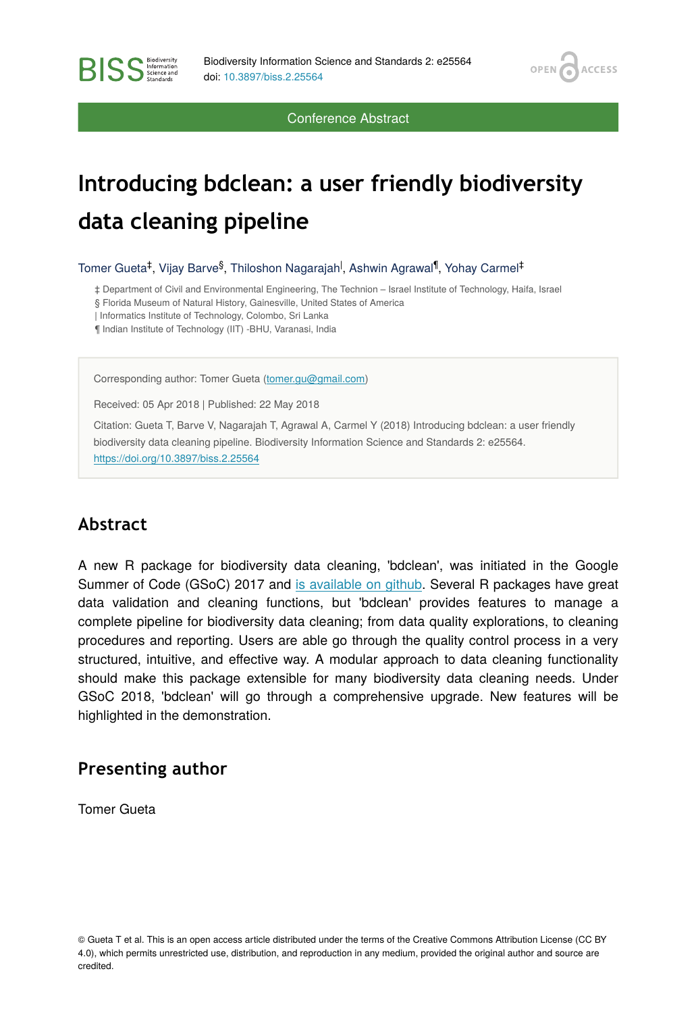OPEN<sub>C</sub>

**ACCESS** 

Conference Abstract

## **Introducing bdclean: a user friendly biodiversity data cleaning pipeline**

Tomer Gueta<sup>‡</sup>, Vijay Barve<sup>§</sup>, Thiloshon Nagarajah<sup>|</sup>, Ashwin Agrawal<sup>¶</sup>, Yohay Carmel<sup>‡</sup>

‡ Department of Civil and Environmental Engineering, The Technion – Israel Institute of Technology, Haifa, Israel

§ Florida Museum of Natural History, Gainesville, United States of America

| Informatics Institute of Technology, Colombo, Sri Lanka

¶ Indian Institute of Technology (IIT) -BHU, Varanasi, India

Corresponding author: Tomer Gueta [\(tomer.gu@gmail.com](mailto:tomer.gu@gmail.com))

Received: 05 Apr 2018 | Published: 22 May 2018

Citation: Gueta T, Barve V, Nagarajah T, Agrawal A, Carmel Y (2018) Introducing bdclean: a user friendly biodiversity data cleaning pipeline. Biodiversity Information Science and Standards 2: e25564. <https://doi.org/10.3897/biss.2.25564>

## **Abstract**

**BISS** Steince and

A new R package for biodiversity data cleaning, 'bdclean', was initiated in the Google Summer of Code (GSoC) 2017 and [is available on github](https://github.com/bd-R/bdclean). Several R packages have great data validation and cleaning functions, but 'bdclean' provides features to manage a complete pipeline for biodiversity data cleaning; from data quality explorations, to cleaning procedures and reporting. Users are able go through the quality control process in a very structured, intuitive, and effective way. A modular approach to data cleaning functionality should make this package extensible for many biodiversity data cleaning needs. Under GSoC 2018, 'bdclean' will go through a comprehensive upgrade. New features will be highlighted in the demonstration.

## **Presenting author**

Tomer Gueta